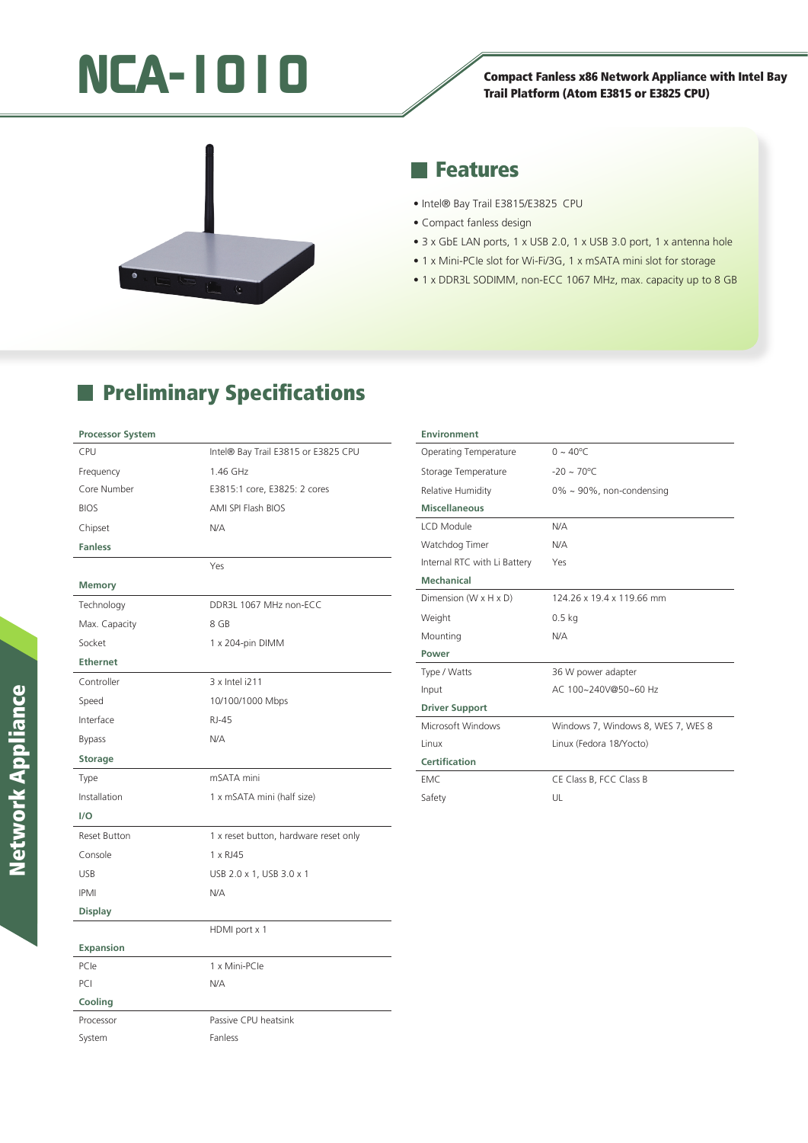# Trail Platform (Atom E3815 or E3825 CPU)

## Trail Platform (Atom E3815 or E3825 CPU)



### **Features**

- Intel® Bay Trail E3815/E3825 CPU
- Compact fanless design
- 3 x GbE LAN ports, 1 x USB 2.0, 1 x USB 3.0 port, 1 x antenna hole
- 1 x Mini-PCIe slot for Wi-Fi/3G, 1 x mSATA mini slot for storage
- 1 x DDR3L SODIMM, non-ECC 1067 MHz, max. capacity up to 8 GB

## **Preliminary Specifications**

#### **Processor System**

| CPU                 | Intel® Bay Trail E3815 or E3825 CPU   |
|---------------------|---------------------------------------|
| Frequency           | 1.46 GHz                              |
| Core Number         | E3815:1 core, E3825: 2 cores          |
| <b>BIOS</b>         | AMI SPI Flash BIOS                    |
| Chipset             | N/A                                   |
| <b>Fanless</b>      |                                       |
|                     | Yes                                   |
| <b>Memory</b>       |                                       |
| Technology          | DDR3L 1067 MHz non-ECC                |
| Max. Capacity       | 8 GB                                  |
| Socket              | 1 x 204-pin DIMM                      |
| <b>Ethernet</b>     |                                       |
| Controller          | 3 x Intel i211                        |
| Speed               | 10/100/1000 Mbps                      |
| Interface           | RJ-45                                 |
| <b>Bypass</b>       | N/A                                   |
| <b>Storage</b>      |                                       |
| Type                | mSATA mini                            |
| Installation        | 1 x mSATA mini (half size)            |
| 1/O                 |                                       |
| <b>Reset Button</b> | 1 x reset button, hardware reset only |
| Console             | 1 x RJ45                              |
| <b>USB</b>          | USB 2.0 x 1, USB 3.0 x 1              |
| <b>IPMI</b>         | N/A                                   |
| <b>Display</b>      |                                       |
|                     | HDMI port x 1                         |
| Expansion           |                                       |
| PCIe                | 1 x Mini-PCle                         |
| PCI                 | N/A                                   |
| Cooling             |                                       |
| Processor           | Passive CPU heatsink                  |
| System              | Fanless                               |

| <b>Environment</b>                  |                                    |
|-------------------------------------|------------------------------------|
| Operating Temperature               | $0 \sim 40^{\circ}$ C              |
| Storage Temperature                 | $-20 \sim 70^{\circ}$ C            |
| Relative Humidity                   | $0\% \sim 90\%$ , non-condensing   |
| <b>Miscellaneous</b>                |                                    |
| LCD Module                          | N/A                                |
| Watchdog Timer                      | N/A                                |
| Internal RTC with Li Battery        | Yes                                |
| Mechanical                          |                                    |
| Dimension ( $W \times H \times D$ ) | 124.26 x 19.4 x 119.66 mm          |
| Weight                              | $0.5$ kg                           |
| Mounting                            | N/A                                |
| Power                               |                                    |
| Type / Watts                        | 36 W power adapter                 |
| Input                               | AC 100~240V@50~60 Hz               |
| <b>Driver Support</b>               |                                    |
| Microsoft Windows                   | Windows 7, Windows 8, WES 7, WES 8 |
| Linux                               | Linux (Fedora 18/Yocto)            |
| Certification                       |                                    |
| EMC.                                | CE Class B, FCC Class B            |
| Safety                              | UL                                 |